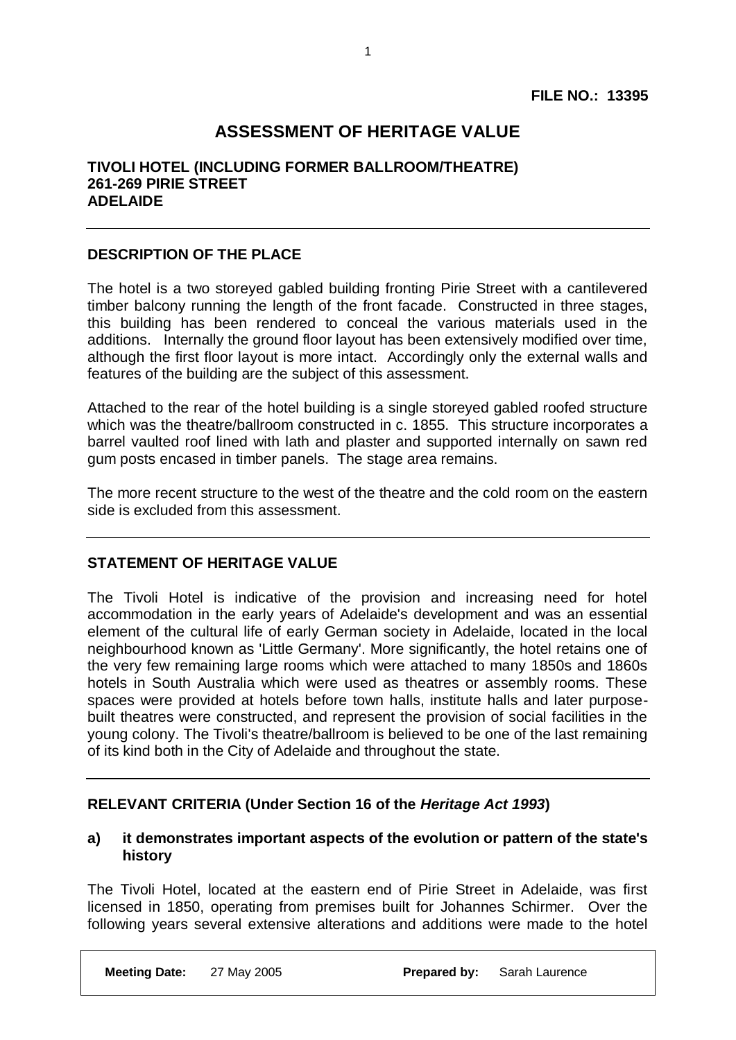## **ASSESSMENT OF HERITAGE VALUE**

1

### **TIVOLI HOTEL (INCLUDING FORMER BALLROOM/THEATRE) 261-269 PIRIE STREET ADELAIDE**

### **DESCRIPTION OF THE PLACE**

The hotel is a two storeyed gabled building fronting Pirie Street with a cantilevered timber balcony running the length of the front facade. Constructed in three stages, this building has been rendered to conceal the various materials used in the additions. Internally the ground floor layout has been extensively modified over time, although the first floor layout is more intact. Accordingly only the external walls and features of the building are the subject of this assessment.

Attached to the rear of the hotel building is a single storeyed gabled roofed structure which was the theatre/ballroom constructed in c. 1855. This structure incorporates a barrel vaulted roof lined with lath and plaster and supported internally on sawn red gum posts encased in timber panels. The stage area remains.

The more recent structure to the west of the theatre and the cold room on the eastern side is excluded from this assessment.

### **STATEMENT OF HERITAGE VALUE**

The Tivoli Hotel is indicative of the provision and increasing need for hotel accommodation in the early years of Adelaide's development and was an essential element of the cultural life of early German society in Adelaide, located in the local neighbourhood known as 'Little Germany'. More significantly, the hotel retains one of the very few remaining large rooms which were attached to many 1850s and 1860s hotels in South Australia which were used as theatres or assembly rooms. These spaces were provided at hotels before town halls, institute halls and later purposebuilt theatres were constructed, and represent the provision of social facilities in the young colony. The Tivoli's theatre/ballroom is believed to be one of the last remaining of its kind both in the City of Adelaide and throughout the state.

### **RELEVANT CRITERIA (Under Section 16 of the** *Heritage Act 1993***)**

#### **a) it demonstrates important aspects of the evolution or pattern of the state's history**

The Tivoli Hotel, located at the eastern end of Pirie Street in Adelaide, was first licensed in 1850, operating from premises built for Johannes Schirmer. Over the following years several extensive alterations and additions were made to the hotel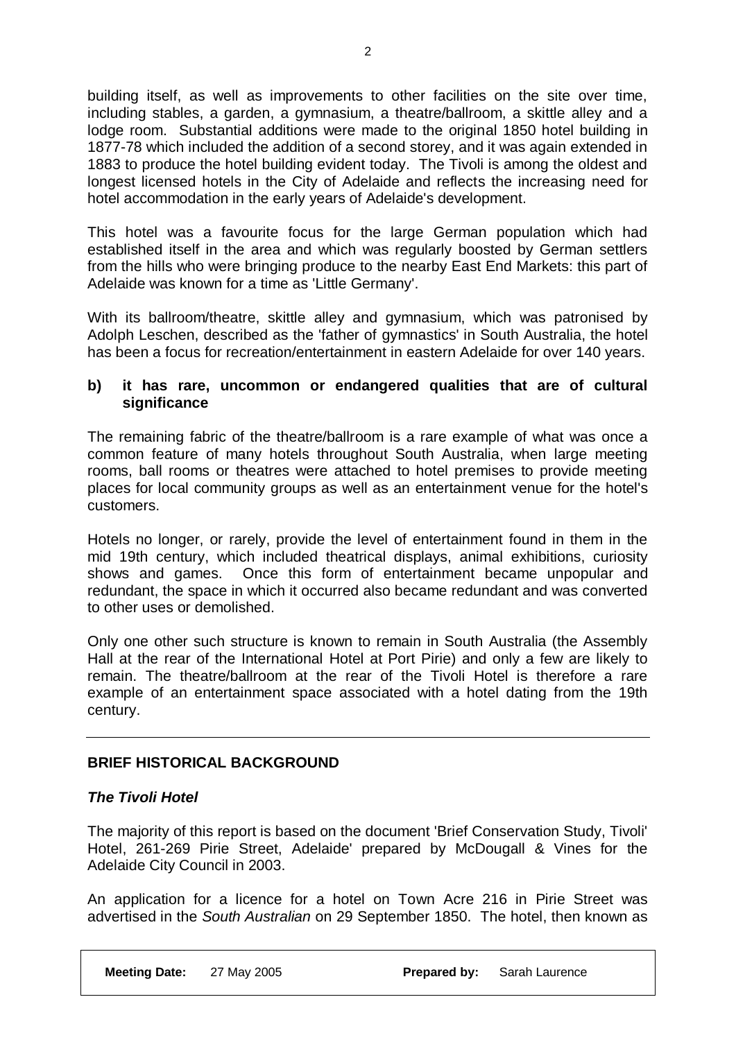building itself, as well as improvements to other facilities on the site over time, including stables, a garden, a gymnasium, a theatre/ballroom, a skittle alley and a lodge room. Substantial additions were made to the original 1850 hotel building in 1877-78 which included the addition of a second storey, and it was again extended in 1883 to produce the hotel building evident today. The Tivoli is among the oldest and longest licensed hotels in the City of Adelaide and reflects the increasing need for hotel accommodation in the early years of Adelaide's development.

This hotel was a favourite focus for the large German population which had established itself in the area and which was regularly boosted by German settlers from the hills who were bringing produce to the nearby East End Markets: this part of Adelaide was known for a time as 'Little Germany'.

With its ballroom/theatre, skittle alley and gymnasium, which was patronised by Adolph Leschen, described as the 'father of gymnastics' in South Australia, the hotel has been a focus for recreation/entertainment in eastern Adelaide for over 140 years.

### **b) it has rare, uncommon or endangered qualities that are of cultural significance**

The remaining fabric of the theatre/ballroom is a rare example of what was once a common feature of many hotels throughout South Australia, when large meeting rooms, ball rooms or theatres were attached to hotel premises to provide meeting places for local community groups as well as an entertainment venue for the hotel's customers.

Hotels no longer, or rarely, provide the level of entertainment found in them in the mid 19th century, which included theatrical displays, animal exhibitions, curiosity shows and games. Once this form of entertainment became unpopular and redundant, the space in which it occurred also became redundant and was converted to other uses or demolished.

Only one other such structure is known to remain in South Australia (the Assembly Hall at the rear of the International Hotel at Port Pirie) and only a few are likely to remain. The theatre/ballroom at the rear of the Tivoli Hotel is therefore a rare example of an entertainment space associated with a hotel dating from the 19th century.

### **BRIEF HISTORICAL BACKGROUND**

### *The Tivoli Hotel*

The majority of this report is based on the document 'Brief Conservation Study, Tivoli' Hotel, 261-269 Pirie Street, Adelaide' prepared by McDougall & Vines for the Adelaide City Council in 2003.

An application for a licence for a hotel on Town Acre 216 in Pirie Street was advertised in the *South Australian* on 29 September 1850. The hotel, then known as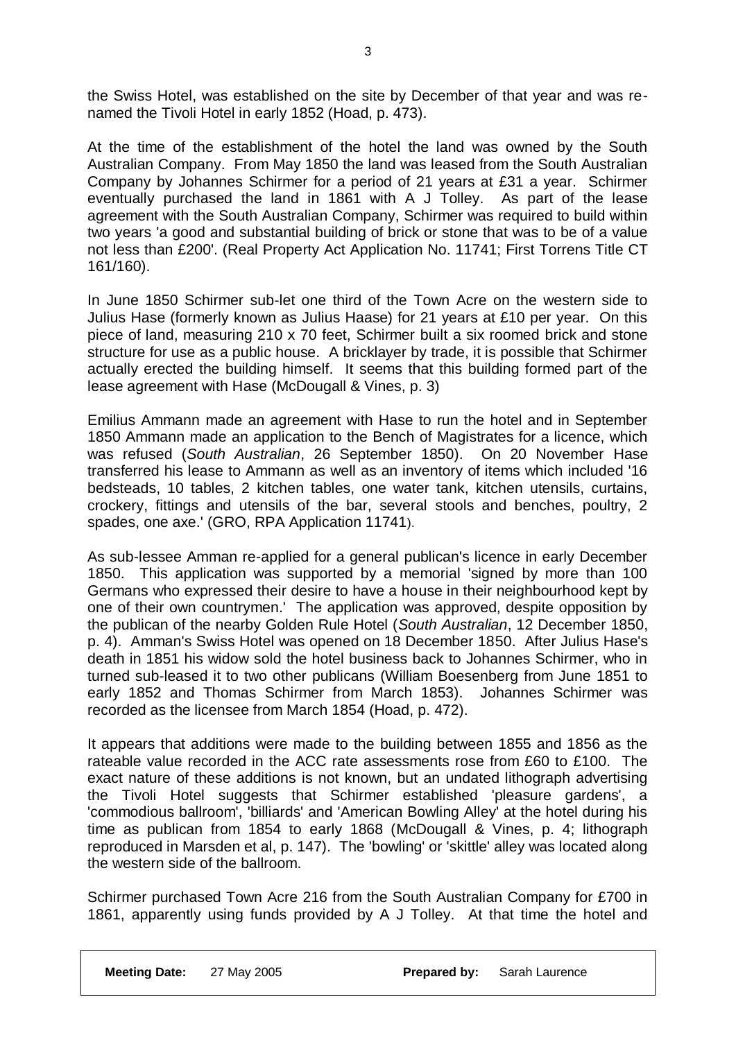the Swiss Hotel, was established on the site by December of that year and was renamed the Tivoli Hotel in early 1852 (Hoad, p. 473).

At the time of the establishment of the hotel the land was owned by the South Australian Company. From May 1850 the land was leased from the South Australian Company by Johannes Schirmer for a period of 21 years at £31 a year. Schirmer eventually purchased the land in 1861 with A J Tolley. As part of the lease agreement with the South Australian Company, Schirmer was required to build within two years 'a good and substantial building of brick or stone that was to be of a value not less than £200'. (Real Property Act Application No. 11741; First Torrens Title CT 161/160).

In June 1850 Schirmer sub-let one third of the Town Acre on the western side to Julius Hase (formerly known as Julius Haase) for 21 years at £10 per year. On this piece of land, measuring 210 x 70 feet, Schirmer built a six roomed brick and stone structure for use as a public house. A bricklayer by trade, it is possible that Schirmer actually erected the building himself. It seems that this building formed part of the lease agreement with Hase (McDougall & Vines, p. 3)

Emilius Ammann made an agreement with Hase to run the hotel and in September 1850 Ammann made an application to the Bench of Magistrates for a licence, which was refused (*South Australian*, 26 September 1850). On 20 November Hase transferred his lease to Ammann as well as an inventory of items which included '16 bedsteads, 10 tables, 2 kitchen tables, one water tank, kitchen utensils, curtains, crockery, fittings and utensils of the bar, several stools and benches, poultry, 2 spades, one axe.' (GRO, RPA Application 11741).

As sub-lessee Amman re-applied for a general publican's licence in early December 1850. This application was supported by a memorial 'signed by more than 100 Germans who expressed their desire to have a house in their neighbourhood kept by one of their own countrymen.' The application was approved, despite opposition by the publican of the nearby Golden Rule Hotel (*South Australian*, 12 December 1850, p. 4). Amman's Swiss Hotel was opened on 18 December 1850. After Julius Hase's death in 1851 his widow sold the hotel business back to Johannes Schirmer, who in turned sub-leased it to two other publicans (William Boesenberg from June 1851 to early 1852 and Thomas Schirmer from March 1853). Johannes Schirmer was recorded as the licensee from March 1854 (Hoad, p. 472).

It appears that additions were made to the building between 1855 and 1856 as the rateable value recorded in the ACC rate assessments rose from £60 to £100. The exact nature of these additions is not known, but an undated lithograph advertising the Tivoli Hotel suggests that Schirmer established 'pleasure gardens', a 'commodious ballroom', 'billiards' and 'American Bowling Alley' at the hotel during his time as publican from 1854 to early 1868 (McDougall & Vines, p. 4; lithograph reproduced in Marsden et al, p. 147). The 'bowling' or 'skittle' alley was located along the western side of the ballroom.

Schirmer purchased Town Acre 216 from the South Australian Company for £700 in 1861, apparently using funds provided by A J Tolley. At that time the hotel and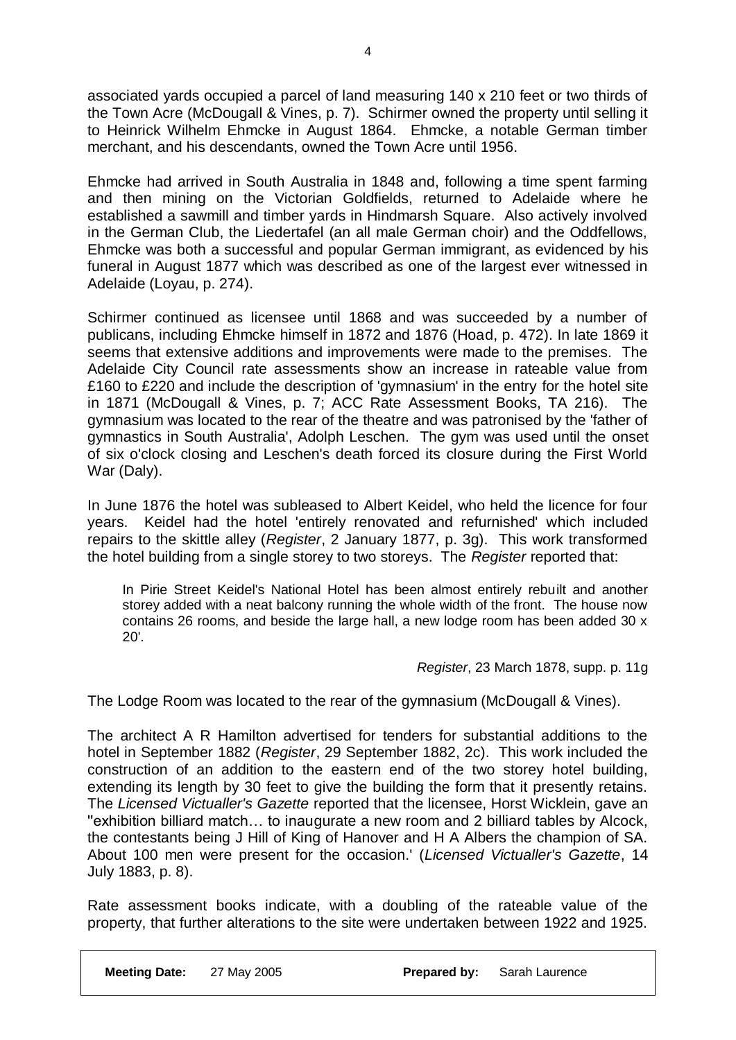associated yards occupied a parcel of land measuring 140 x 210 feet or two thirds of the Town Acre (McDougall & Vines, p. 7). Schirmer owned the property until selling it to Heinrick Wilhelm Ehmcke in August 1864. Ehmcke, a notable German timber merchant, and his descendants, owned the Town Acre until 1956.

Ehmcke had arrived in South Australia in 1848 and, following a time spent farming and then mining on the Victorian Goldfields, returned to Adelaide where he established a sawmill and timber yards in Hindmarsh Square. Also actively involved in the German Club, the Liedertafel (an all male German choir) and the Oddfellows, Ehmcke was both a successful and popular German immigrant, as evidenced by his funeral in August 1877 which was described as one of the largest ever witnessed in Adelaide (Loyau, p. 274).

Schirmer continued as licensee until 1868 and was succeeded by a number of publicans, including Ehmcke himself in 1872 and 1876 (Hoad, p. 472). In late 1869 it seems that extensive additions and improvements were made to the premises. The Adelaide City Council rate assessments show an increase in rateable value from £160 to £220 and include the description of 'gymnasium' in the entry for the hotel site in 1871 (McDougall & Vines, p. 7; ACC Rate Assessment Books, TA 216). The gymnasium was located to the rear of the theatre and was patronised by the 'father of gymnastics in South Australia', Adolph Leschen. The gym was used until the onset of six o'clock closing and Leschen's death forced its closure during the First World War (Daly).

In June 1876 the hotel was subleased to Albert Keidel, who held the licence for four years. Keidel had the hotel 'entirely renovated and refurnished' which included repairs to the skittle alley (*Register*, 2 January 1877, p. 3g). This work transformed the hotel building from a single storey to two storeys. The *Register* reported that:

In Pirie Street Keidel's National Hotel has been almost entirely rebuilt and another storey added with a neat balcony running the whole width of the front. The house now contains 26 rooms, and beside the large hall, a new lodge room has been added 30 x 20'.

*Register*, 23 March 1878, supp. p. 11g

The Lodge Room was located to the rear of the gymnasium (McDougall & Vines).

The architect A R Hamilton advertised for tenders for substantial additions to the hotel in September 1882 (*Register*, 29 September 1882, 2c). This work included the construction of an addition to the eastern end of the two storey hotel building, extending its length by 30 feet to give the building the form that it presently retains. The *Licensed Victualler's Gazette* reported that the licensee, Horst Wicklein, gave an ''exhibition billiard match… to inaugurate a new room and 2 billiard tables by Alcock, the contestants being J Hill of King of Hanover and H A Albers the champion of SA. About 100 men were present for the occasion.' (*Licensed Victualler's Gazette*, 14 July 1883, p. 8).

Rate assessment books indicate, with a doubling of the rateable value of the property, that further alterations to the site were undertaken between 1922 and 1925.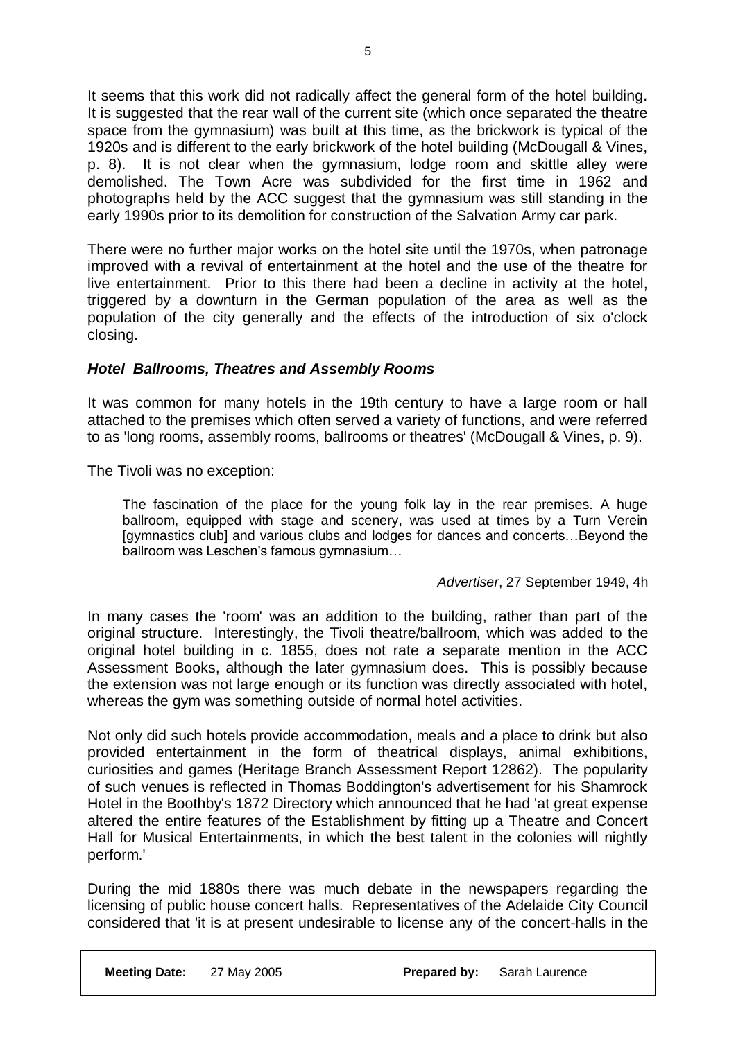It seems that this work did not radically affect the general form of the hotel building. It is suggested that the rear wall of the current site (which once separated the theatre space from the gymnasium) was built at this time, as the brickwork is typical of the 1920s and is different to the early brickwork of the hotel building (McDougall & Vines, p. 8). It is not clear when the gymnasium, lodge room and skittle alley were demolished. The Town Acre was subdivided for the first time in 1962 and photographs held by the ACC suggest that the gymnasium was still standing in the early 1990s prior to its demolition for construction of the Salvation Army car park.

There were no further major works on the hotel site until the 1970s, when patronage improved with a revival of entertainment at the hotel and the use of the theatre for live entertainment. Prior to this there had been a decline in activity at the hotel, triggered by a downturn in the German population of the area as well as the population of the city generally and the effects of the introduction of six o'clock closing.

### *Hotel Ballrooms, Theatres and Assembly Rooms*

It was common for many hotels in the 19th century to have a large room or hall attached to the premises which often served a variety of functions, and were referred to as 'long rooms, assembly rooms, ballrooms or theatres' (McDougall & Vines, p. 9).

The Tivoli was no exception:

The fascination of the place for the young folk lay in the rear premises. A huge ballroom, equipped with stage and scenery, was used at times by a Turn Verein [gymnastics club] and various clubs and lodges for dances and concerts…Beyond the ballroom was Leschen's famous gymnasium…

### *Advertiser*, 27 September 1949, 4h

In many cases the 'room' was an addition to the building, rather than part of the original structure. Interestingly, the Tivoli theatre/ballroom, which was added to the original hotel building in c. 1855, does not rate a separate mention in the ACC Assessment Books, although the later gymnasium does. This is possibly because the extension was not large enough or its function was directly associated with hotel, whereas the gym was something outside of normal hotel activities.

Not only did such hotels provide accommodation, meals and a place to drink but also provided entertainment in the form of theatrical displays, animal exhibitions, curiosities and games (Heritage Branch Assessment Report 12862). The popularity of such venues is reflected in Thomas Boddington's advertisement for his Shamrock Hotel in the Boothby's 1872 Directory which announced that he had 'at great expense altered the entire features of the Establishment by fitting up a Theatre and Concert Hall for Musical Entertainments, in which the best talent in the colonies will nightly perform.'

During the mid 1880s there was much debate in the newspapers regarding the licensing of public house concert halls. Representatives of the Adelaide City Council considered that 'it is at present undesirable to license any of the concert-halls in the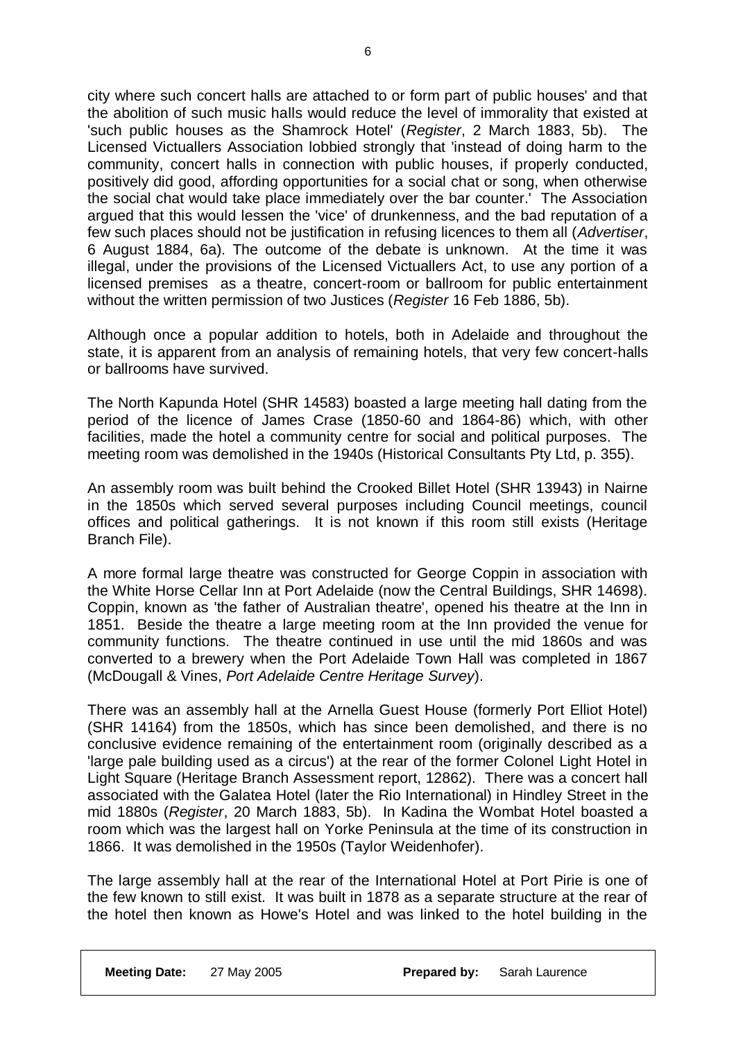city where such concert halls are attached to or form part of public houses' and that the abolition of such music halls would reduce the level of immorality that existed at 'such public houses as the Shamrock Hotel' (*Register*, 2 March 1883, 5b). The Licensed Victuallers Association lobbied strongly that 'instead of doing harm to the community, concert halls in connection with public houses, if properly conducted, positively did good, affording opportunities for a social chat or song, when otherwise the social chat would take place immediately over the bar counter.' The Association argued that this would lessen the 'vice' of drunkenness, and the bad reputation of a few such places should not be justification in refusing licences to them all (*Advertiser*, 6 August 1884, 6a). The outcome of the debate is unknown. At the time it was illegal, under the provisions of the Licensed Victuallers Act, to use any portion of a licensed premises as a theatre, concert-room or ballroom for public entertainment without the written permission of two Justices (*Register* 16 Feb 1886, 5b).

Although once a popular addition to hotels, both in Adelaide and throughout the state, it is apparent from an analysis of remaining hotels, that very few concert-halls or ballrooms have survived.

The North Kapunda Hotel (SHR 14583) boasted a large meeting hall dating from the period of the licence of James Crase (1850-60 and 1864-86) which, with other facilities, made the hotel a community centre for social and political purposes. The meeting room was demolished in the 1940s (Historical Consultants Pty Ltd, p. 355).

An assembly room was built behind the Crooked Billet Hotel (SHR 13943) in Nairne in the 1850s which served several purposes including Council meetings, council offices and political gatherings. It is not known if this room still exists (Heritage Branch File).

A more formal large theatre was constructed for George Coppin in association with the White Horse Cellar Inn at Port Adelaide (now the Central Buildings, SHR 14698). Coppin, known as 'the father of Australian theatre', opened his theatre at the Inn in 1851. Beside the theatre a large meeting room at the Inn provided the venue for community functions. The theatre continued in use until the mid 1860s and was converted to a brewery when the Port Adelaide Town Hall was completed in 1867 (McDougall & Vines, *Port Adelaide Centre Heritage Survey*).

There was an assembly hall at the Arnella Guest House (formerly Port Elliot Hotel) (SHR 14164) from the 1850s, which has since been demolished, and there is no conclusive evidence remaining of the entertainment room (originally described as a 'large pale building used as a circus') at the rear of the former Colonel Light Hotel in Light Square (Heritage Branch Assessment report, 12862). There was a concert hall associated with the Galatea Hotel (later the Rio International) in Hindley Street in the mid 1880s (*Register*, 20 March 1883, 5b). In Kadina the Wombat Hotel boasted a room which was the largest hall on Yorke Peninsula at the time of its construction in 1866. It was demolished in the 1950s (Taylor Weidenhofer).

The large assembly hall at the rear of the International Hotel at Port Pirie is one of the few known to still exist. It was built in 1878 as a separate structure at the rear of the hotel then known as Howe's Hotel and was linked to the hotel building in the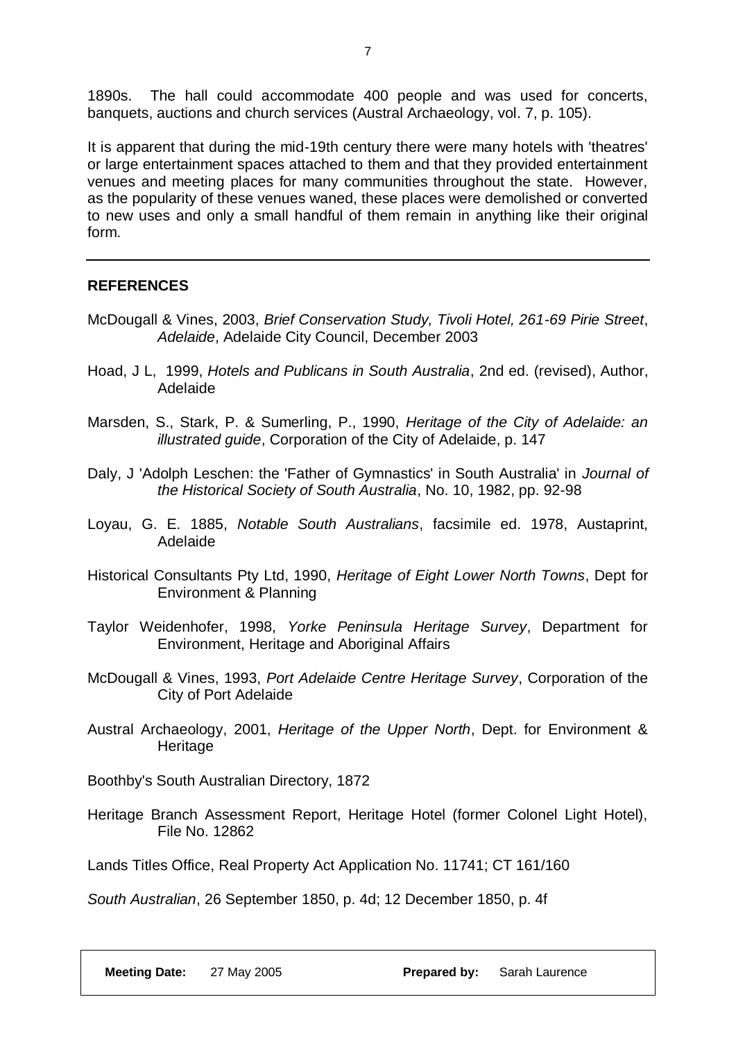1890s. The hall could accommodate 400 people and was used for concerts, banquets, auctions and church services (Austral Archaeology, vol. 7, p. 105).

It is apparent that during the mid-19th century there were many hotels with 'theatres' or large entertainment spaces attached to them and that they provided entertainment venues and meeting places for many communities throughout the state. However, as the popularity of these venues waned, these places were demolished or converted to new uses and only a small handful of them remain in anything like their original form.

### **REFERENCES**

- McDougall & Vines, 2003, *Brief Conservation Study, Tivoli Hotel, 261-69 Pirie Street*, *Adelaide*, Adelaide City Council, December 2003
- Hoad, J L, 1999, *Hotels and Publicans in South Australia*, 2nd ed. (revised), Author, Adelaide
- Marsden, S., Stark, P. & Sumerling, P., 1990, *Heritage of the City of Adelaide: an illustrated guide*, Corporation of the City of Adelaide, p. 147
- Daly, J 'Adolph Leschen: the 'Father of Gymnastics' in South Australia' in *Journal of the Historical Society of South Australia*, No. 10, 1982, pp. 92-98
- Loyau, G. E. 1885, *Notable South Australians*, facsimile ed. 1978, Austaprint, Adelaide
- Historical Consultants Pty Ltd, 1990, *Heritage of Eight Lower North Towns*, Dept for Environment & Planning
- Taylor Weidenhofer, 1998, *Yorke Peninsula Heritage Survey*, Department for Environment, Heritage and Aboriginal Affairs
- McDougall & Vines, 1993, *Port Adelaide Centre Heritage Survey*, Corporation of the City of Port Adelaide
- Austral Archaeology, 2001, *Heritage of the Upper North*, Dept. for Environment & Heritage
- Boothby's South Australian Directory, 1872
- Heritage Branch Assessment Report, Heritage Hotel (former Colonel Light Hotel), File No. 12862

Lands Titles Office, Real Property Act Application No. 11741; CT 161/160

*South Australian*, 26 September 1850, p. 4d; 12 December 1850, p. 4f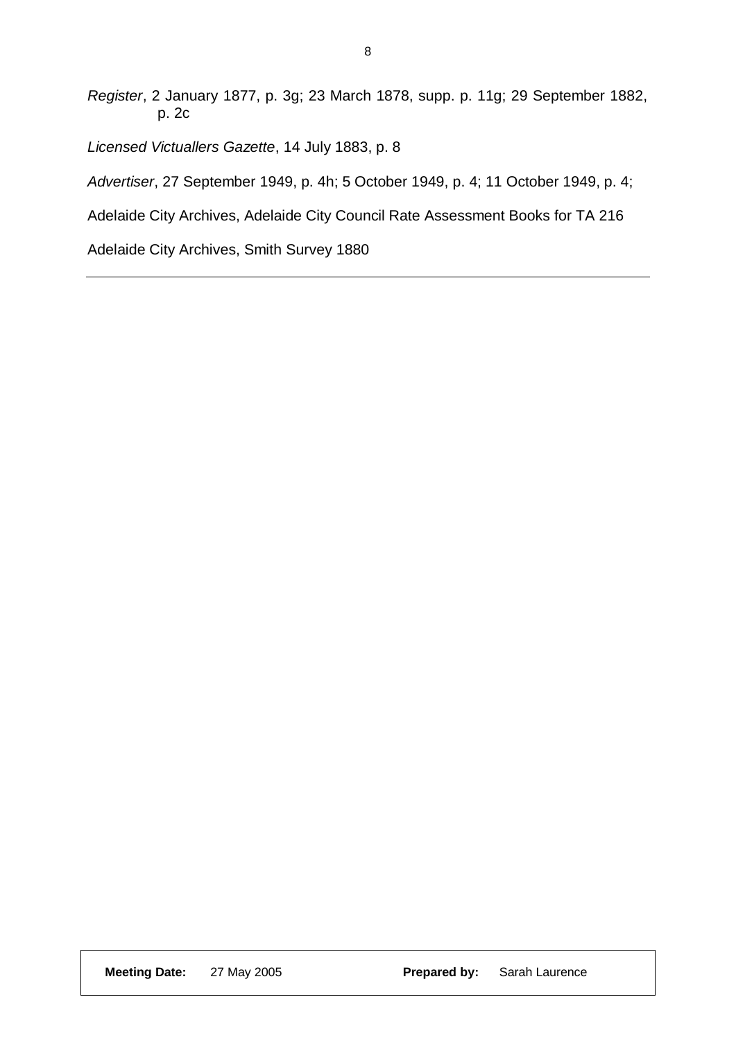*Register*, 2 January 1877, p. 3g; 23 March 1878, supp. p. 11g; 29 September 1882, p. 2c

*Licensed Victuallers Gazette*, 14 July 1883, p. 8

*Advertiser*, 27 September 1949, p. 4h; 5 October 1949, p. 4; 11 October 1949, p. 4;

Adelaide City Archives, Adelaide City Council Rate Assessment Books for TA 216

Adelaide City Archives, Smith Survey 1880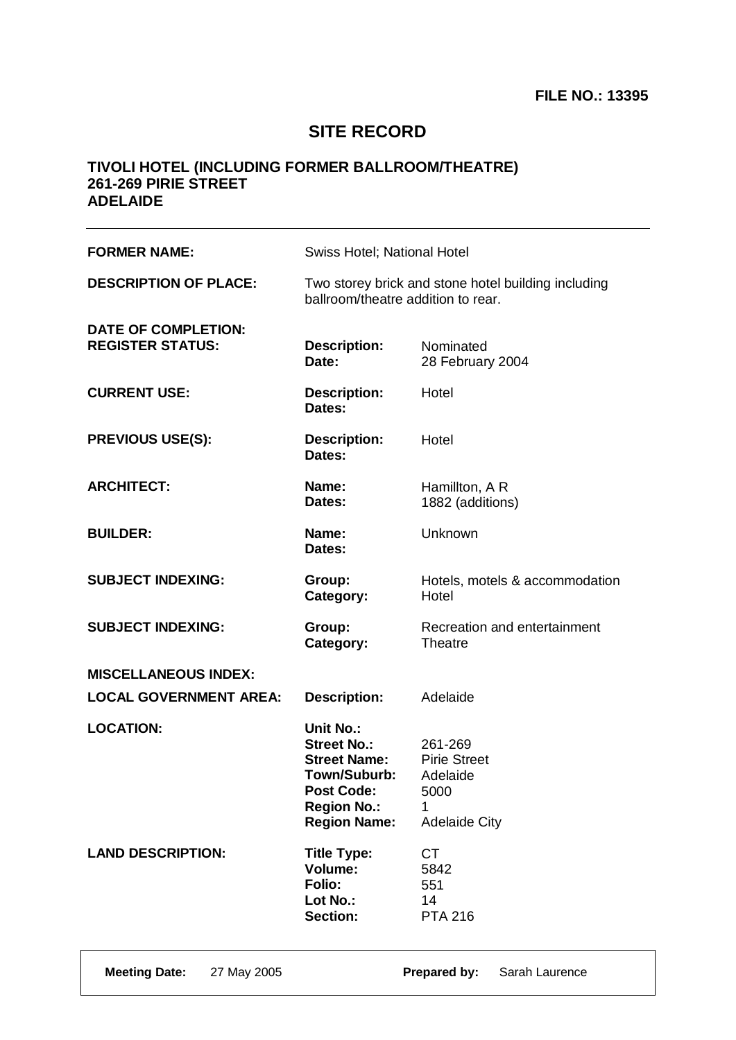# **SITE RECORD**

| <b>FORMER NAME:</b>                                   | Swiss Hotel; National Hotel                                                                                                                     |                                                                            |
|-------------------------------------------------------|-------------------------------------------------------------------------------------------------------------------------------------------------|----------------------------------------------------------------------------|
| <b>DESCRIPTION OF PLACE:</b>                          | Two storey brick and stone hotel building including<br>ballroom/theatre addition to rear.                                                       |                                                                            |
| <b>DATE OF COMPLETION:</b><br><b>REGISTER STATUS:</b> | <b>Description:</b><br>Date:                                                                                                                    | Nominated<br>28 February 2004                                              |
| <b>CURRENT USE:</b>                                   | <b>Description:</b><br>Dates:                                                                                                                   | Hotel                                                                      |
| <b>PREVIOUS USE(S):</b>                               | <b>Description:</b><br>Dates:                                                                                                                   | Hotel                                                                      |
| <b>ARCHITECT:</b>                                     | Name:<br>Dates:                                                                                                                                 | Hamillton, A R<br>1882 (additions)                                         |
| <b>BUILDER:</b>                                       | Name:<br>Dates:                                                                                                                                 | Unknown                                                                    |
| <b>SUBJECT INDEXING:</b>                              | Group:<br>Category:                                                                                                                             | Hotels, motels & accommodation<br>Hotel                                    |
| <b>SUBJECT INDEXING:</b>                              | Group:<br>Category:                                                                                                                             | Recreation and entertainment<br><b>Theatre</b>                             |
| <b>MISCELLANEOUS INDEX:</b>                           |                                                                                                                                                 |                                                                            |
| <b>LOCAL GOVERNMENT AREA:</b>                         | <b>Description:</b>                                                                                                                             | Adelaide                                                                   |
| <b>LOCATION:</b>                                      | <b>Unit No.:</b><br><b>Street No.:</b><br><b>Street Name:</b><br>Town/Suburb:<br><b>Post Code:</b><br><b>Region No.:</b><br><b>Region Name:</b> | 261-269<br><b>Pirie Street</b><br>Adelaide<br>5000<br><b>Adelaide City</b> |
| <b>LAND DESCRIPTION:</b>                              | <b>Title Type:</b><br>Volume:<br>Folio:<br>Lot No.:<br><b>Section:</b>                                                                          | <b>CT</b><br>5842<br>551<br>14<br><b>PTA 216</b>                           |
| <b>Meeting Date:</b><br>27 May 2005                   |                                                                                                                                                 | Prepared by:<br>Sarah Laurence                                             |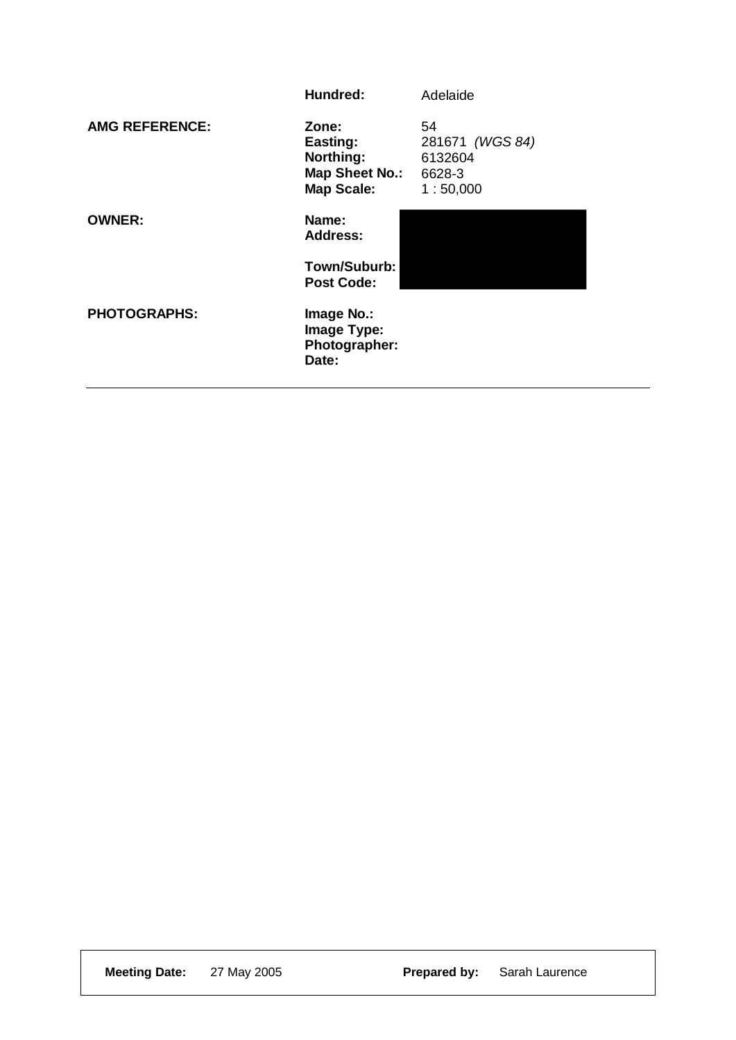|                       | Hundred:                                                                     | Adelaide                                     |
|-----------------------|------------------------------------------------------------------------------|----------------------------------------------|
| <b>AMG REFERENCE:</b> | Zone:<br>Easting:<br>Northing:<br><b>Map Sheet No.: 6628-3</b><br>Map Scale: | 54<br>281671 (WGS 84)<br>6132604<br>1:50,000 |
| <b>OWNER:</b>         | Name:<br><b>Address:</b>                                                     |                                              |
|                       | Town/Suburb:<br><b>Post Code:</b>                                            |                                              |
| <b>PHOTOGRAPHS:</b>   | Image No.:<br>Image Type:<br>Photographer:<br>Date:                          |                                              |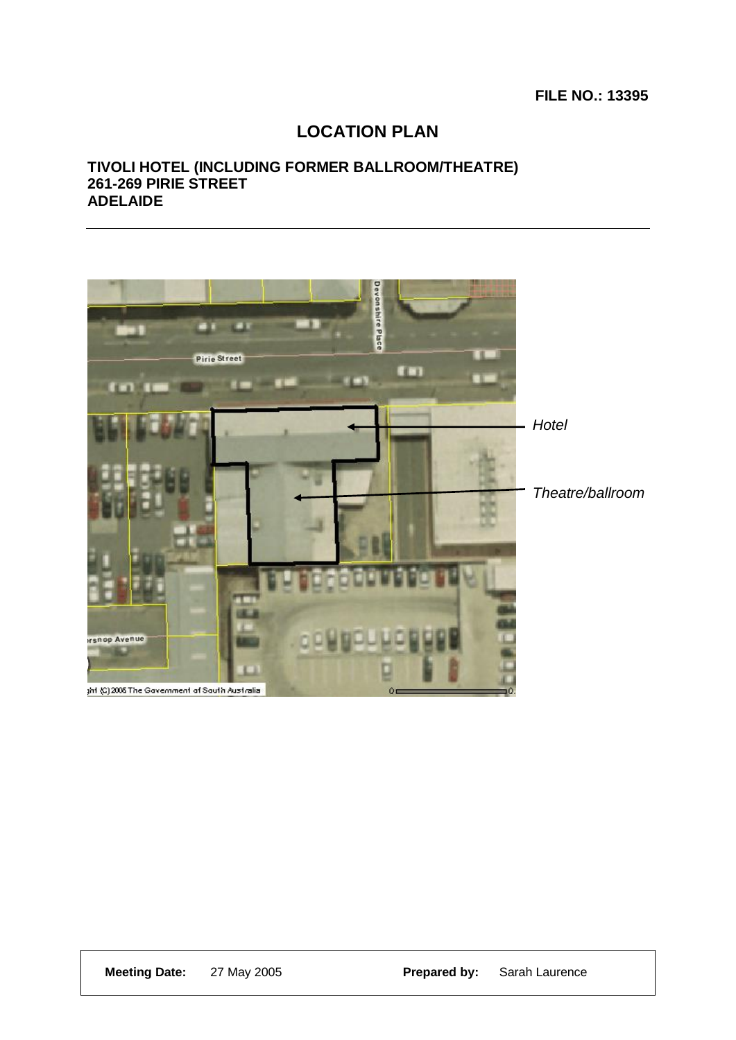### **FILE NO.: 13395**

## **LOCATION PLAN**

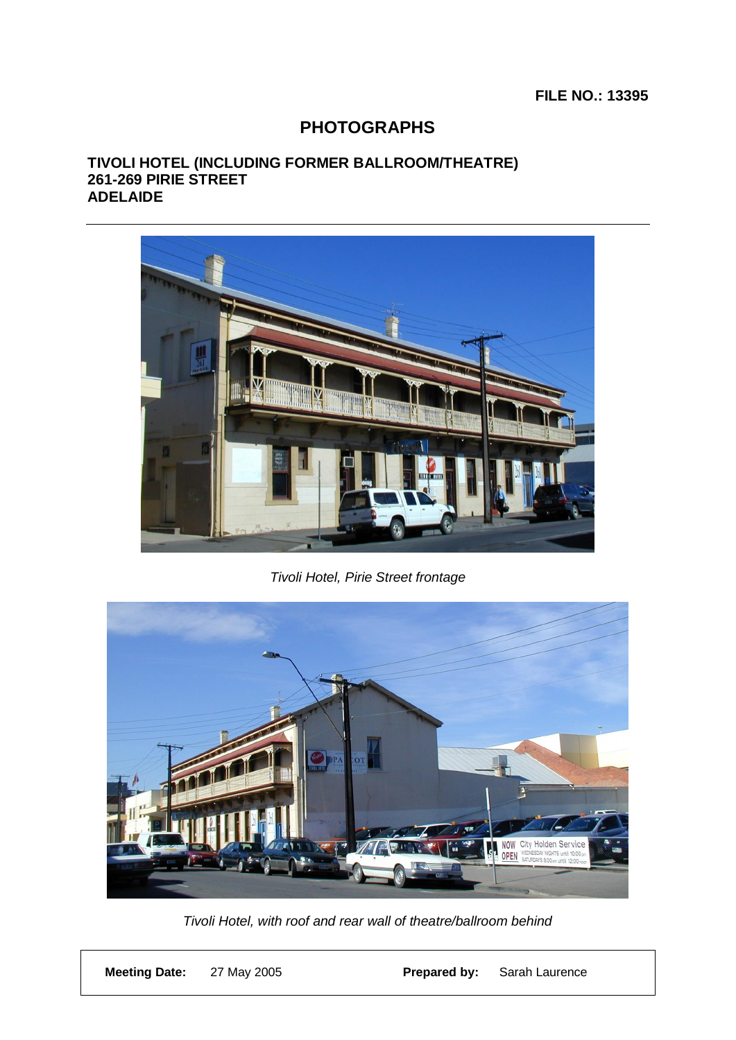## **PHOTOGRAPHS**



*Tivoli Hotel, Pirie Street frontage*



*Tivoli Hotel, with roof and rear wall of theatre/ballroom behind*